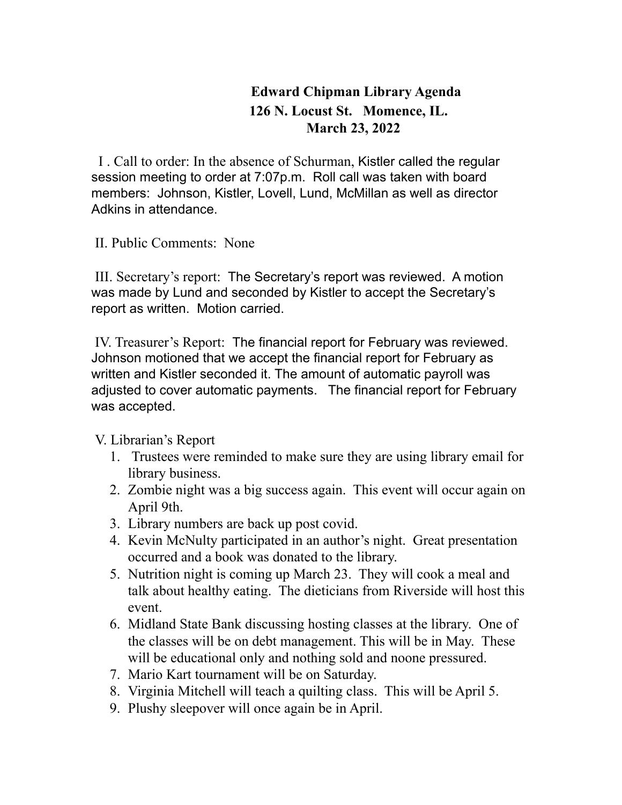## **Edward Chipman Library Agenda 126 N. Locust St. Momence, IL. March 23, 2022**

I . Call to order: In the absence of Schurman, Kistler called the regular session meeting to order at 7:07p.m. Roll call was taken with board members: Johnson, Kistler, Lovell, Lund, McMillan as well as director Adkins in attendance.

II. Public Comments: None

III. Secretary's report: The Secretary's report was reviewed. A motion was made by Lund and seconded by Kistler to accept the Secretary's report as written. Motion carried.

IV. Treasurer's Report: The financial report for February was reviewed. Johnson motioned that we accept the financial report for February as written and Kistler seconded it. The amount of automatic payroll was adjusted to cover automatic payments. The financial report for February was accepted.

V. Librarian's Report

- 1. Trustees were reminded to make sure they are using library email for library business.
- 2. Zombie night was a big success again. This event will occur again on April 9th.
- 3. Library numbers are back up post covid.
- 4. Kevin McNulty participated in an author's night. Great presentation occurred and a book was donated to the library.
- 5. Nutrition night is coming up March 23. They will cook a meal and talk about healthy eating. The dieticians from Riverside will host this event.
- 6. Midland State Bank discussing hosting classes at the library. One of the classes will be on debt management. This will be in May. These will be educational only and nothing sold and noone pressured.
- 7. Mario Kart tournament will be on Saturday.
- 8. Virginia Mitchell will teach a quilting class. This will be April 5.
- 9. Plushy sleepover will once again be in April.